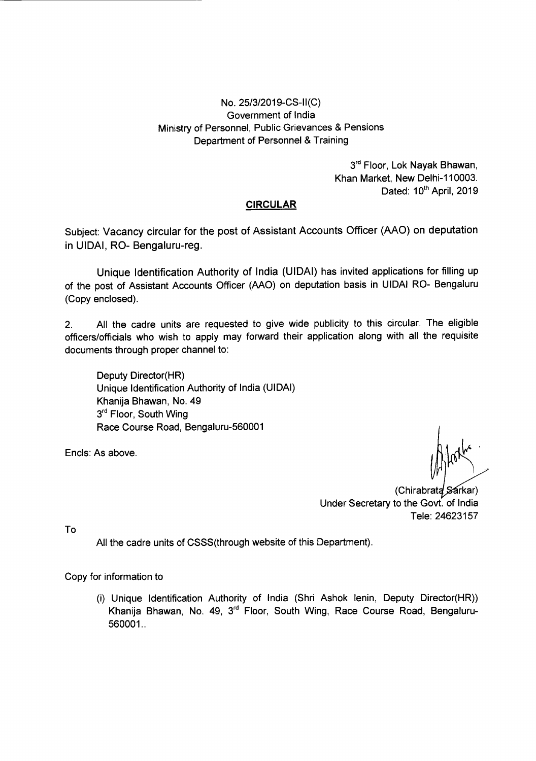### No. 25/3/2019-CS-II(C) Government of India Ministry of Personnel, Public Grievances & Pensions Department of Personnel & Training

3rd Floor, Lok Nayak Bhawan, Khan Market, New Delhi-110003. Dated: 10<sup>th</sup> April, 2019

#### **CIRCULAR**

Subject: Vacancy circular for the post of Assistant Accounts Officer (AAO) on deputation in UIDAI, RO- Bengaluru-reg.

Unique Identification Authority of India (UIDAI) has invited applications for filling up of the post of Assistant Accounts Officer (AAO) on deputation basis in UIDAI RO- Bengaluru (Copy enclosed).

2. All the cadre units are requested to give wide publicity to this circular. The eligible officers/officials who wish to apply may forward their application along with all the requisite documents through proper channel to:

Deputy Director(HR) Unique Identification Authority of India (UIDAI) Khanija Shawan, No. 49 3<sup>rd</sup> Floor, South Wing Race Course Road, Sengaluru-560001

Encls: As above.

(Chirabrata Sarkar) Under Secretary to the Govt. of India Tele: 24623157

To

All the cadre units of CSSS(through website of this Department).

Copy for information to

(i) Unique Identification Authority of India (Shri Ashok lenin, Deputy Director(HR)) Khanija Bhawan, No. 49, 3<sup>rd</sup> Floor, South Wing, Race Course Road, Bengaluru-560001.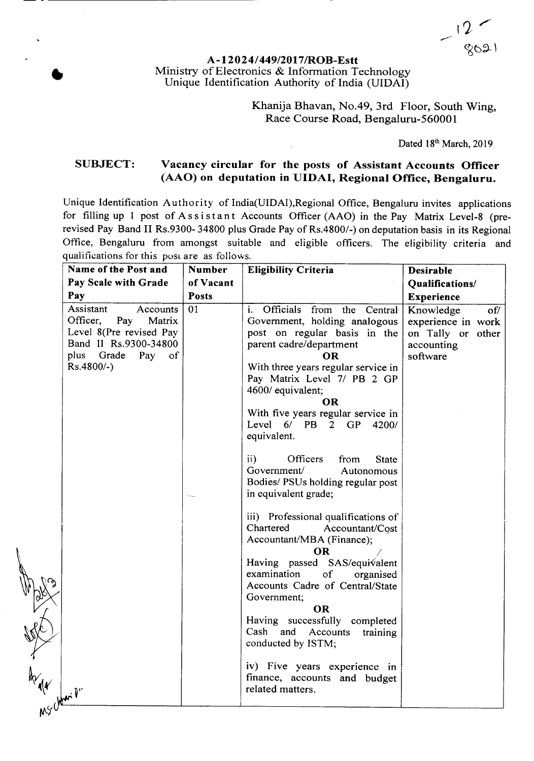#### A-12024/449/2017/ROB-Estt Ministry of Electronics & Information Technology Unique Identification Authority of India (UIDAI)

**•** 

**PROFECTION** 

Khanija Bhavan, No.49, 3rd Floor, South Wing, Race Course Road, Bengaluru-560001

Dated 18th March, 2019

#### SUBJECT: Vacancy circular for the posts of Assistant Accounts Officer (AAO) on deputation in UIDAI, Regional Office, Bengaluru.

Unique Identification Authority of India(UIDAI),Regional Office, Bengaluru invites applications for filling up 1 post of Assistant Accounts Officer (AAO) in the Pay Matrix Level-8 (prerevised Pay Band II Rs.9300- 34S00 plus Grade Pay of Rs.4S00/-) on deputation basis in its Regional Office, Bengaluru from amongst suitable and eligible officers. The eligibility criteria and qualifications for this post are as follows.

| Name of the Post and                                                                                                                            | <b>Number</b> | <b>Eligibility Criteria</b>                                                                                                                                                                                                                                                                                                                                                                                                                                                                                                                                                                                                                                                                                                                                                                                         | <b>Desirable</b>                                                                      |  |  |
|-------------------------------------------------------------------------------------------------------------------------------------------------|---------------|---------------------------------------------------------------------------------------------------------------------------------------------------------------------------------------------------------------------------------------------------------------------------------------------------------------------------------------------------------------------------------------------------------------------------------------------------------------------------------------------------------------------------------------------------------------------------------------------------------------------------------------------------------------------------------------------------------------------------------------------------------------------------------------------------------------------|---------------------------------------------------------------------------------------|--|--|
| Pay Scale with Grade                                                                                                                            | of Vacant     |                                                                                                                                                                                                                                                                                                                                                                                                                                                                                                                                                                                                                                                                                                                                                                                                                     | Qualifications/                                                                       |  |  |
| Pay                                                                                                                                             | <b>Posts</b>  |                                                                                                                                                                                                                                                                                                                                                                                                                                                                                                                                                                                                                                                                                                                                                                                                                     | <b>Experience</b>                                                                     |  |  |
| Assistant<br>Accounts<br>Officer,<br>Pay<br>Matrix<br>Level 8(Pre revised Pay<br>Band II Rs.9300-34800<br>plus Grade<br>Pay of<br>$Rs.4800/-$ ) | 01<br>t salar | i. Officials from the Central<br>Government, holding analogous<br>post on regular basis in the<br>parent cadre/department<br>OR<br>With three years regular service in<br>Pay Matrix Level 7/ PB 2 GP<br>4600/ equivalent;<br>OR<br>With five years regular service in<br>Level 6/ PB 2 GP 4200/<br>equivalent.<br>$\mathbf{ii}$<br>Officers<br>from<br><b>State</b><br>Government/<br>Autonomous<br>Bodies/ PSUs holding regular post<br>in equivalent grade;<br>iii) Professional qualifications of<br>Chartered<br>Accountant/Cost<br>Accountant/MBA (Finance);<br><b>OR</b><br>Having passed SAS/equivalent<br>examination<br><sub>of</sub><br>organised<br>Accounts Cadre of Central/State<br>Government;<br><b>OR</b><br>Having successfully completed<br>Cash and Accounts<br>training<br>conducted by ISTM; | Knowledge<br>of/<br>experience in work<br>on Tally or other<br>accounting<br>software |  |  |
|                                                                                                                                                 |               | iv) Five years experience in<br>finance, accounts and budget<br>related matters.                                                                                                                                                                                                                                                                                                                                                                                                                                                                                                                                                                                                                                                                                                                                    |                                                                                       |  |  |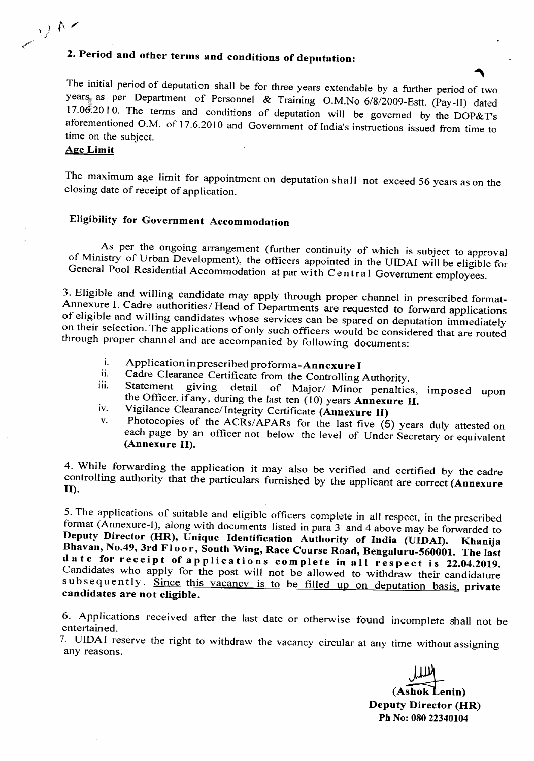# 2. Period and other terms and conditions of deputation:

The initial period of deputation shall be for three years extendable by a further period of two years, as per Department of Personnel & Training O.M.No 6/8/2009-Estt. (Pay-II) dated 17.06.2010. The terms and conditions of deputation will be governed by the DOP&T's aforementioned O.M. of 17.6.2010 and Government of India's instructions issued from time to time on the subject.

#### Age Limit

 $\bigcup_{\lambda} A$ 

The maximum age limit for appointment on deputation shall not exceed 56 years as on the closing date of receipt of application.

### Eligibility for Government Accommodation

As per the ongoing arrangement (further continuity of which is subject to approval of Ministry of Urban Development), the officers appointed in the UIDAI will be eligible for General Pool Residential Accommodation at par with Central Government employees.

3. Eligible and willing candidate may apply through proper channel in prescribed format-Annexure I. Cadre authorities/ Head of Departments are requested to forward applications of eligible and willing candidates whose services can be spared on deputation immediately on their selection. The applications of only such officers would be considered that are routed through proper channel and are accompanied by following documents:

- i. Application in prescribed proforma-Annexure I<br>ii. Cadre Clearance Certificate from the Centrelline
- ii. Cadre Clearance Certificate from the Controlling Authority.<br>
iii. Statement giving detail of Maior/Minor penaltie
- detail of Major/ Minor penalties, imposed upon the Officer, if any, during the last ten (10) years Annexure II.
- iv. Vigilance Clearance/Integrity Certificate (Annexure II)<br>v. Photocopies of the ACRs/ARARs for the lest five (6
- Photocopies of the ACRs/APARs for the last five  $(5)$  years duly attested on each page by an officer not below the level of Under Secretary or equivalent (Annexure II).

4. While forwarding the application it may also be verified and certified by the cadre controlling authority that the particulars furnished by the applicant are correct (Annexure II).

5. The applications of suitable and eligible officers complete in all respect, in the prescribed format (Annexure-I), along with documents listed in para 3 and 4 above may be forwarded to Deputy Director (HR), Unique Identification Authority of India (UIDAI). Khanija Bhavan, No.49, 3rd Floor, South Wing, Race Course Road, Bengaluru-560001. The last date for receipt of applications complete in all respect is 22.04.2019. Candidates who apply for the post will not be allowed to withdraw their candidature subsequently. Since this vacancy is to be filled up on deputation basis, private candidates are not eligible.

6. Applications received after the last date or otherwise found incomplete shall not be entertained.

7. UIDAI reserve the right to withdraw the vacancy circular at any time without assigning any reasons.

(Ashok Lenin) Deputy Director (HR) Ph No:08022340104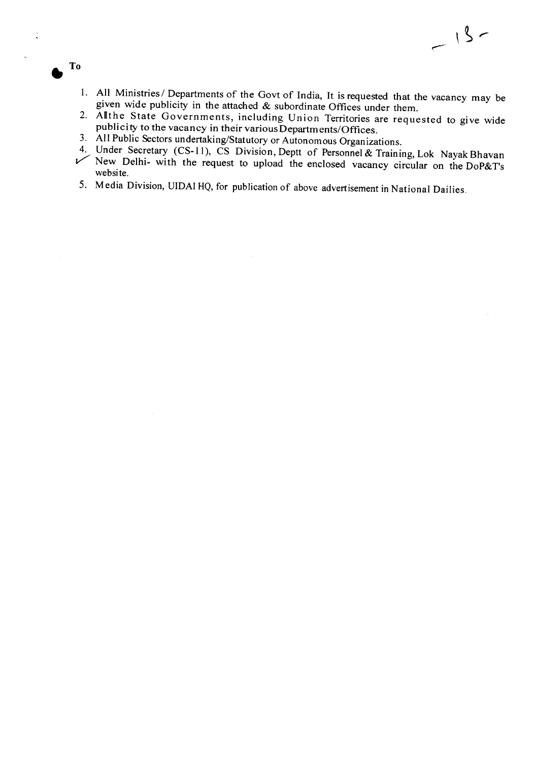1. All Ministries/ Departments of the Govt of India, It is requested that the vacancy may be

 $-15-$ 

- given wide publicity in the attached  $\&$  subordinate Offices under them.
- 2. Allthe State Governments, including Union Territories are requested to give wide publicity to the vacancy in their various Departments/Offices.
- 3. All Public Sectors undertaking/Statutory or Autonomous Organizations.

**• To**

T<sub>o</sub>

 $\ddot{\cdot}$ 

- 4. Under Secretary (CS-11), CS Division, Deptt of Personnel & Training, Lok Nayak Bhavan V' New Delhi- with the request to upload the enclosed vacancy circular on the DoP&T's website.
- 5. Media Division, UIDAI HQ, for publication of above advertisement in National Dailies.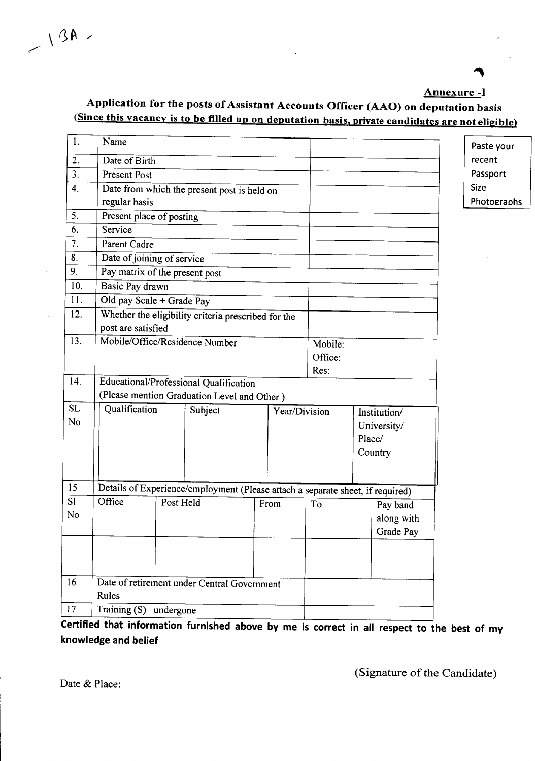#### Annexure -I

## Application for the posts of Assistant Accounts Officer (AAO) on deputation basis (Since this vacancy is to be filled up on deputation basis. private candidates are not eligible)

| 1.             | Name                                        |                          |                                                                                |                               |         |         |        |             |  | Paste your  |
|----------------|---------------------------------------------|--------------------------|--------------------------------------------------------------------------------|-------------------------------|---------|---------|--------|-------------|--|-------------|
| 2.             | Date of Birth                               |                          | recent                                                                         |                               |         |         |        |             |  |             |
| 3.             | Present Post                                |                          | Passport                                                                       |                               |         |         |        |             |  |             |
| 4.             | Date from which the present post is held on |                          |                                                                                |                               |         |         |        |             |  | <b>Size</b> |
|                | regular basis                               |                          |                                                                                |                               |         |         |        |             |  | Photographs |
| 5.             | Present place of posting                    |                          |                                                                                |                               |         |         |        |             |  |             |
| 6.             | Service                                     |                          |                                                                                |                               |         |         |        |             |  |             |
| 7.             | Parent Cadre                                |                          |                                                                                |                               |         |         |        |             |  |             |
| 8.             | Date of joining of service                  |                          |                                                                                |                               |         |         |        |             |  |             |
| 9.             | Pay matrix of the present post              |                          |                                                                                |                               |         |         |        |             |  |             |
| 10.            | Basic Pay drawn                             |                          |                                                                                |                               |         |         |        |             |  |             |
| 11.            | Old pay Scale + Grade Pay                   |                          |                                                                                |                               |         |         |        |             |  |             |
| 12.            |                                             |                          | Whether the eligibility criteria prescribed for the                            |                               |         |         |        |             |  |             |
|                | post are satisfied                          |                          |                                                                                |                               |         |         |        |             |  |             |
| 13.            | Mobile/Office/Residence Number              |                          |                                                                                |                               | Mobile: |         |        |             |  |             |
|                |                                             |                          |                                                                                |                               |         | Office: |        |             |  |             |
|                |                                             |                          |                                                                                |                               |         |         |        |             |  |             |
| 14.            |                                             |                          | Educational/Professional Qualification                                         |                               |         |         |        |             |  |             |
|                |                                             |                          | (Please mention Graduation Level and Other)                                    |                               |         |         |        |             |  |             |
| <b>SL</b>      |                                             | Qualification<br>Subject |                                                                                | Year/Division<br>Institution/ |         |         |        |             |  |             |
| N <sub>o</sub> |                                             |                          |                                                                                |                               |         |         |        | University/ |  |             |
|                |                                             |                          |                                                                                |                               |         |         | Place/ |             |  |             |
|                |                                             |                          |                                                                                |                               |         |         |        | Country     |  |             |
|                |                                             |                          |                                                                                |                               |         |         |        |             |  |             |
| 15             |                                             |                          |                                                                                |                               |         |         |        |             |  |             |
| <b>SI</b>      | Office                                      | Post Held                | Details of Experience/employment (Please attach a separate sheet, if required) |                               |         |         |        |             |  |             |
| No             |                                             |                          |                                                                                |                               | From    | To      |        | Pay band    |  |             |
|                |                                             |                          |                                                                                |                               |         |         |        | along with  |  |             |
|                |                                             |                          |                                                                                |                               |         |         |        | Grade Pay   |  |             |
|                |                                             |                          |                                                                                |                               |         |         |        |             |  |             |
|                |                                             |                          |                                                                                |                               |         |         |        |             |  |             |
| 16             |                                             |                          | Date of retirement under Central Government                                    |                               |         |         |        |             |  |             |
|                | Rules                                       |                          |                                                                                |                               |         |         |        |             |  |             |
| 17             | Training (S) undergone                      |                          |                                                                                |                               |         |         |        |             |  |             |
|                |                                             |                          |                                                                                |                               |         |         |        |             |  |             |

Certified that information furnished above by me is correct in all respect to the best of my knowledge and belief

(Signature of the Candidate)

Date & Place:

 $\sim$  13A